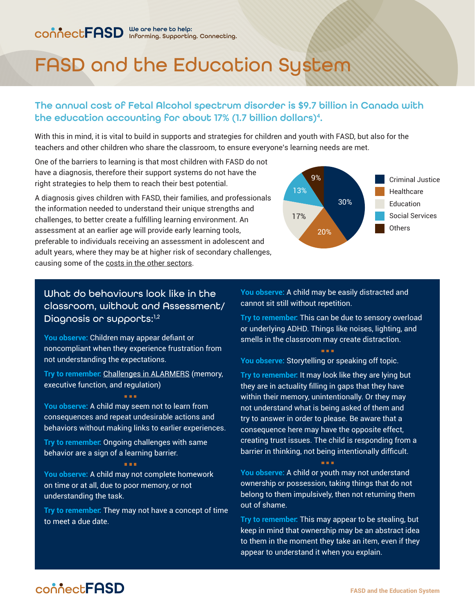# FASD and the Education System

# The annual cost of Fetal Alcohol spectrum disorder is \$9.7 billion in Canada with the education accounting for about 17% (1.7 billion dollars)<sup>4</sup>.

With this in mind, it is vital to build in supports and strategies for children and youth with FASD, but also for the teachers and other children who share the classroom, to ensure everyone's learning needs are met.

One of the barriers to learning is that most children with FASD do not have a diagnosis, therefore their support systems do not have the right strategies to help them to reach their best potential.

A diagnosis gives children with FASD, their families, and professionals the information needed to understand their unique strengths and challenges, to better create a fulfilling learning environment. An assessment at an earlier age will provide early learning tools, preferable to individuals receiving an assessment in adolescent and adult years, where they may be at higher risk of secondary challenges, causing some of the [costs in the other sectors.](http://connectfasd.ca/factsheets)



## What do behaviours look like in the classroom, without and Assessment/ Diagnosis or supports:<sup>1,2</sup>

**You observe:** Children may appear defiant or noncompliant when they experience frustration from not understanding the expectations.

**Try to remember:** [Challenges in ALARMERS](http://connectfasd.ca/factsheets) (memory, executive function, and regulation)

a a a

**You observe:** A child may seem not to learn from consequences and repeat undesirable actions and behaviors without making links to earlier experiences.

**Try to remember:** Ongoing challenges with same behavior are a sign of a learning barrier.

**You observe:** A child may not complete homework on time or at all, due to poor memory, or not understanding the task.

a a a

**Try to remember:** They may not have a concept of time to meet a due date.

**You observe:** A child may be easily distracted and cannot sit still without repetition.

**Try to remember:** This can be due to sensory overload or underlying ADHD. Things like noises, lighting, and smells in the classroom may create distraction.

**You observe:** Storytelling or speaking off topic.

**Try to remember:** It may look like they are lying but they are in actuality filling in gaps that they have within their memory, unintentionally. Or they may not understand what is being asked of them and try to answer in order to please. Be aware that a consequence here may have the opposite effect, creating trust issues. The child is responding from a barrier in thinking, not being intentionally difficult.

**You observe:** A child or youth may not understand ownership or possession, taking things that do not belong to them impulsively, then not returning them out of shame.

**Try to remember:** This may appear to be stealing, but keep in mind that ownership may be an abstract idea to them in the moment they take an item, even if they appear to understand it when you explain.

# connectFASD